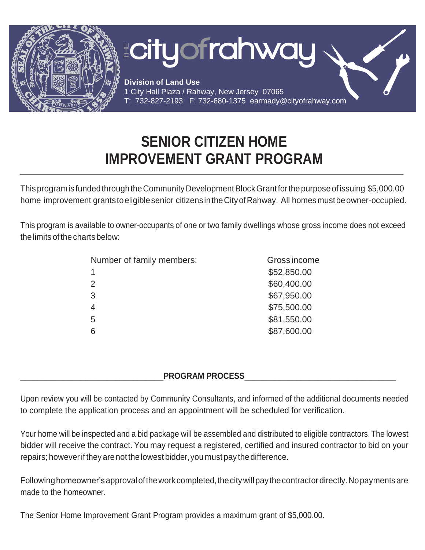

## **SENIOR CITIZEN HOME IMPROVEMENT GRANT PROGRAM**

This programis fundedthroughtheCommunityDevelopmentBlockGrantforthepurposeofissuing \$5,000.00 home improvement grants to eligible senior citizens in the City of Rahway. All homes must be owner-occupied.

This program is available to owner-occupants of one or two family dwellings whose gross income does not exceed the limits of the charts below:

| \$52,850.00                  |  |
|------------------------------|--|
| \$60,400.00<br>$\mathcal{P}$ |  |
| \$67,950.00<br>3             |  |
| \$75,500.00                  |  |
| \$81,550.00<br>5             |  |
| \$87,600.00                  |  |

## PROGRAM PROCESS

Upon review you will be contacted by Community Consultants, and informed of the additional documents needed to complete the application process and an appointment will be scheduled for verification.

Your home will be inspected and a bid package will be assembled and distributed to eligible contractors.The lowest bidder will receive the contract. You may request a registered, certified and insured contractor to bid on your repairs; however if they are not the lowest bidder, you must pay the difference.

Following homeowner's approval of the work completed, the city will pay the contractor directly. No payments are made to the homeowner.

The Senior Home Improvement Grant Program provides a maximum grant of \$5,000.00.